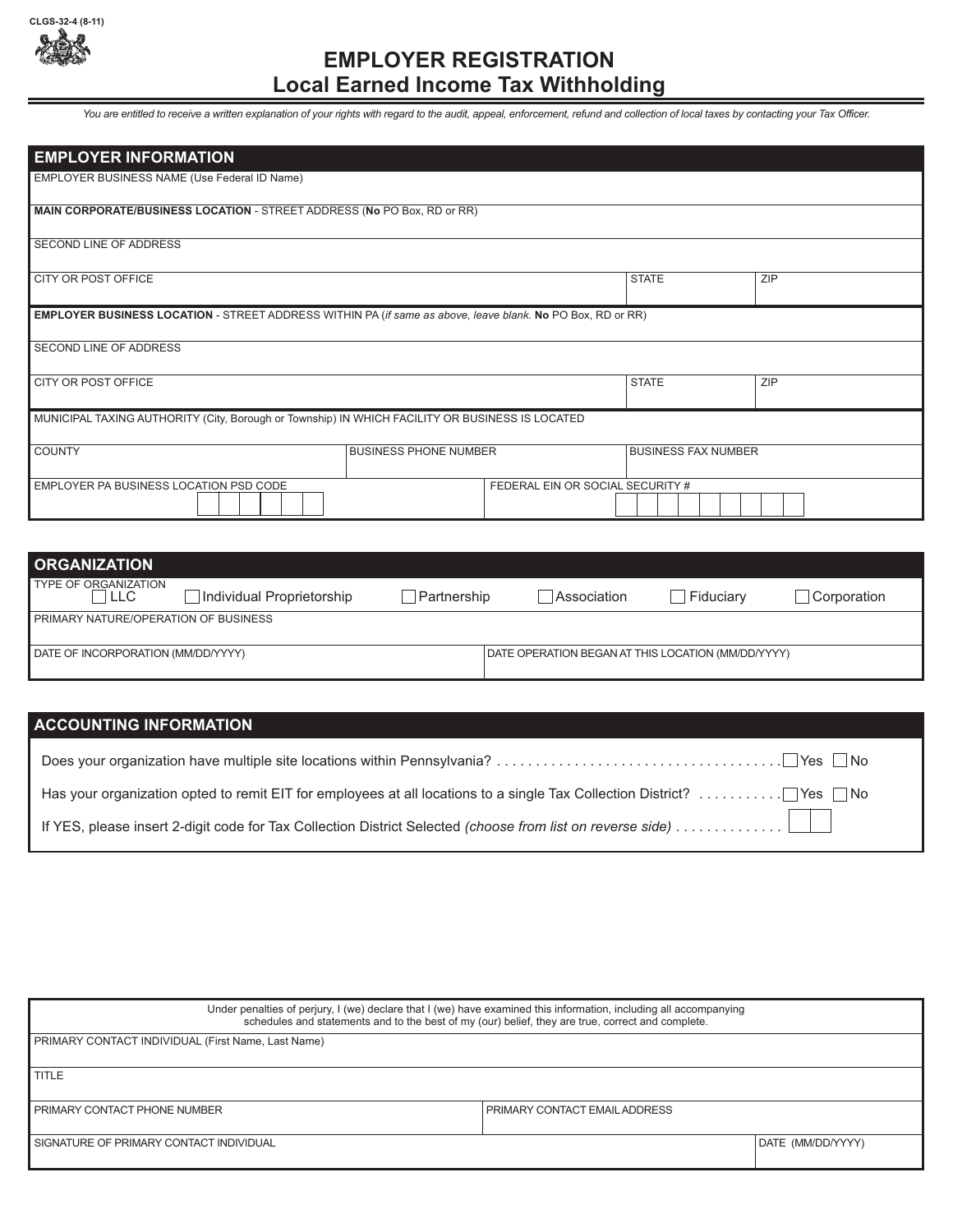

## **EMPLOYER REGISTRATION Local Earned Income Tax Withholding**

*You are entitled to receive a written explanation of your rights with regard to the audit, appeal, enforcement, refund and collection of local taxes by contacting your Tax Officer.* 

| <b>EMPLOYER INFORMATION</b>                                                                                |                              |                                  |                            |            |
|------------------------------------------------------------------------------------------------------------|------------------------------|----------------------------------|----------------------------|------------|
| EMPLOYER BUSINESS NAME (Use Federal ID Name)                                                               |                              |                                  |                            |            |
| MAIN CORPORATE/BUSINESS LOCATION - STREET ADDRESS (No PO Box, RD or RR)                                    |                              |                                  |                            |            |
| <b>SECOND LINE OF ADDRESS</b>                                                                              |                              |                                  |                            |            |
| <b>CITY OR POST OFFICE</b>                                                                                 |                              |                                  | <b>STATE</b>               | ZIP        |
| EMPLOYER BUSINESS LOCATION - STREET ADDRESS WITHIN PA (if same as above, leave blank. No PO Box, RD or RR) |                              |                                  |                            |            |
| SECOND LINE OF ADDRESS                                                                                     |                              |                                  |                            |            |
| <b>CITY OR POST OFFICE</b>                                                                                 |                              |                                  | <b>STATE</b>               | <b>ZIP</b> |
| MUNICIPAL TAXING AUTHORITY (City, Borough or Township) IN WHICH FACILITY OR BUSINESS IS LOCATED            |                              |                                  |                            |            |
| <b>COUNTY</b>                                                                                              | <b>BUSINESS PHONE NUMBER</b> |                                  | <b>BUSINESS FAX NUMBER</b> |            |
| EMPLOYER PA BUSINESS LOCATION PSD CODE                                                                     |                              | FEDERAL EIN OR SOCIAL SECURITY # |                            |            |

| <b>ORGANIZATION</b>                         |                           |                                                    |             |           |             |
|---------------------------------------------|---------------------------|----------------------------------------------------|-------------|-----------|-------------|
| TYPE OF ORGANIZATION<br>I LLC               | Individual Proprietorship | Partnership                                        | Association | Fiduciarv | Corporation |
| <b>FRIMARY NATURE/OPERATION OF BUSINESS</b> |                           |                                                    |             |           |             |
| DATE OF INCORPORATION (MM/DD/YYYY)          |                           | DATE OPERATION BEGAN AT THIS LOCATION (MM/DD/YYYY) |             |           |             |

## **ACCOUNTING INFORMATION**

| Under penalties of perjury, I (we) declare that I (we) have examined this information, including all accompanying<br>schedules and statements and to the best of my (our) belief, they are true, correct and complete. |                                 |                   |  |  |
|------------------------------------------------------------------------------------------------------------------------------------------------------------------------------------------------------------------------|---------------------------------|-------------------|--|--|
| PRIMARY CONTACT INDIVIDUAL (First Name, Last Name)                                                                                                                                                                     |                                 |                   |  |  |
|                                                                                                                                                                                                                        |                                 |                   |  |  |
| <b>I</b> TITLE                                                                                                                                                                                                         |                                 |                   |  |  |
|                                                                                                                                                                                                                        |                                 |                   |  |  |
| I PRIMARY CONTACT PHONE NUMBER                                                                                                                                                                                         | I PRIMARY CONTACT EMAIL ADDRESS |                   |  |  |
|                                                                                                                                                                                                                        |                                 |                   |  |  |
| I SIGNATURE OF PRIMARY CONTACT INDIVIDUAL                                                                                                                                                                              |                                 | DATE (MM/DD/YYYY) |  |  |
|                                                                                                                                                                                                                        |                                 |                   |  |  |